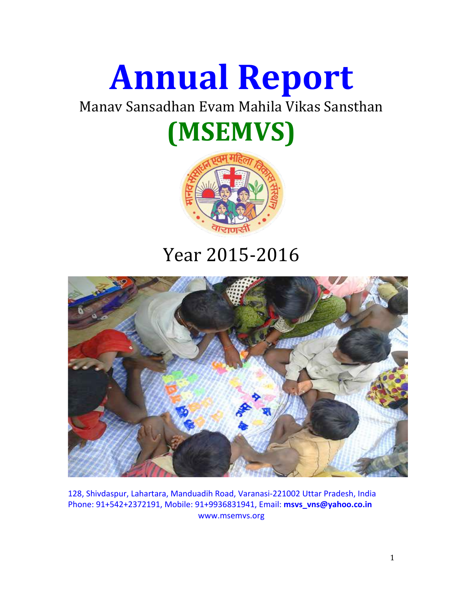

Manav Sansadhan Evam Mahila Vikas Sansthan

# **(MSEMVS)**



# Year 2015-2016



128, Shivdaspur, Lahartara, Manduadih Road, Varanasi-221002 Uttar Pradesh, India Phone: 91+542+2372191, Mobile: 91+9936831941, Email: **msvs\_vns@yahoo.co.in** www.msemvs.org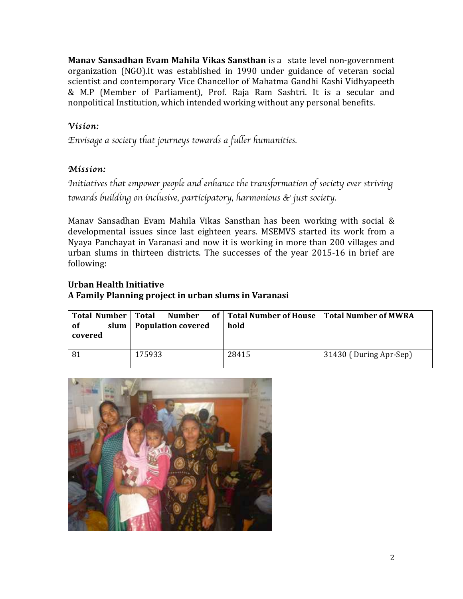**Manav Sansadhan Evam Mahila Vikas Sansthan** is a state level non-government organization (NGO). It was established in 1990 under guidance of veteran social scientist and contemporary Vice Chancellor of Mahatma Gandhi Kashi Vidhyapeeth & M.P (Member of Parliament), Prof. Raja Ram Sashtri. It is a secular and nonpolitical Institution, which intended working without any personal benefits.

### *Vision:*

*Envisage a society that journeys towards a fuller humanities.* 

#### *Mission:*

*Initiatives that empower people and enhance the transformation of society ever striving towards building on inclusive, participatory, harmonious & just society.*

Manav Sansadhan Evam Mahila Vikas Sansthan has been working with social  $\&$ developmental issues since last eighteen years. MSEMVS started its work from a Nyaya Panchayat in Varanasi and now it is working in more than 200 villages and urban slums in thirteen districts. The successes of the year 2015-16 in brief are following:

#### **Urban Health Initiative A Family Planning project in urban slums in Varanasi**

| Total Number   Total<br>0f<br>covered | slum   Population covered | Number of   Total Number of House   Total Number of MWRA<br>hold |                        |
|---------------------------------------|---------------------------|------------------------------------------------------------------|------------------------|
| -81                                   | 175933                    | 28415                                                            | 31430 (During Apr-Sep) |

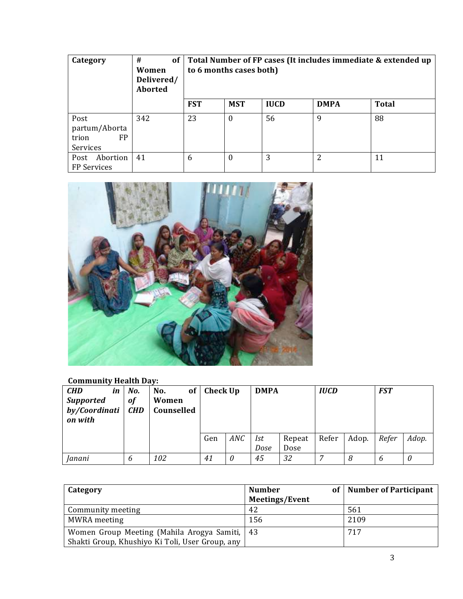| Category                                                | of<br>#<br>Women<br>Delivered/<br><b>Aborted</b> | Total Number of FP cases (It includes immediate & extended up<br>to 6 months cases both) |              |             |             |              |
|---------------------------------------------------------|--------------------------------------------------|------------------------------------------------------------------------------------------|--------------|-------------|-------------|--------------|
|                                                         |                                                  | <b>FST</b>                                                                               | <b>MST</b>   | <b>IUCD</b> | <b>DMPA</b> | <b>Total</b> |
| Post<br>partum/Aborta<br><b>FP</b><br>trion<br>Services | 342                                              | 23                                                                                       | $\theta$     | 56          | q           | 88           |
| Abortion<br>Post<br>FP Services                         | 41                                               | 6                                                                                        | $\mathbf{0}$ | 3           | 2           | 11           |



## **Community Health Day:**

| <b>CHD</b><br>in<br><b>Supported</b><br>by/Coordinati<br>on with | No.<br>of<br><b>CHD</b> | of<br>No.<br>Women<br>Counselled | <b>Check Up</b> |            | <b>DMPA</b> |                | <b>IUCD</b> |       | <b>FST</b> |       |
|------------------------------------------------------------------|-------------------------|----------------------------------|-----------------|------------|-------------|----------------|-------------|-------|------------|-------|
|                                                                  |                         |                                  | Gen             | <b>ANC</b> | Ist<br>Dose | Repeat<br>Dose | Refer       | Adop. | Refer      | Adop. |
| Janani                                                           | b                       | 102                              | 41              | 0          | 45          | 32             | –           | 8     | 6          | 0     |

| Category                                        | <b>Number</b><br>оf   | Number of Participant |
|-------------------------------------------------|-----------------------|-----------------------|
|                                                 | <b>Meetings/Event</b> |                       |
| Community meeting                               | 42                    | 561                   |
| MWRA meeting                                    | 156                   | 2109                  |
| Women Group Meeting (Mahila Arogya Samiti,   43 |                       | 717                   |
| Shakti Group, Khushiyo Ki Toli, User Group, any |                       |                       |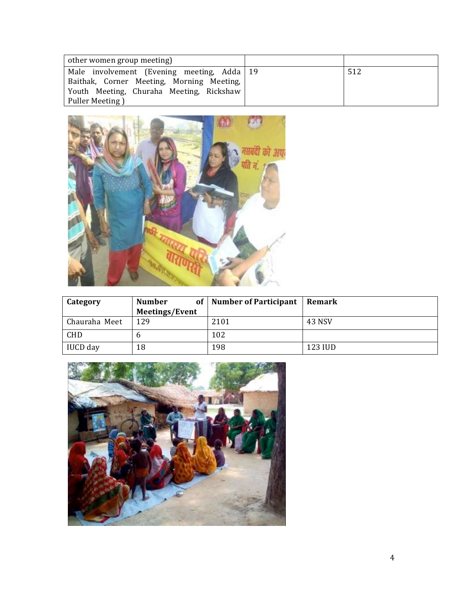| other women group meeting)                   |     |
|----------------------------------------------|-----|
| Male involvement (Evening meeting, Adda   19 | 512 |
| Baithak, Corner Meeting, Morning Meeting,    |     |
| Youth Meeting, Churaha Meeting, Rickshaw     |     |
| Puller Meeting)                              |     |



| Category      | <b>Number</b>  | of   Number of Participant | <b>Remark</b> |
|---------------|----------------|----------------------------|---------------|
|               | Meetings/Event |                            |               |
| Chauraha Meet | 129            | 2101                       | 43 NSV        |
| <b>CHD</b>    | n              | 102                        |               |
| IUCD day      | 18             | 198                        | 123 IUD       |

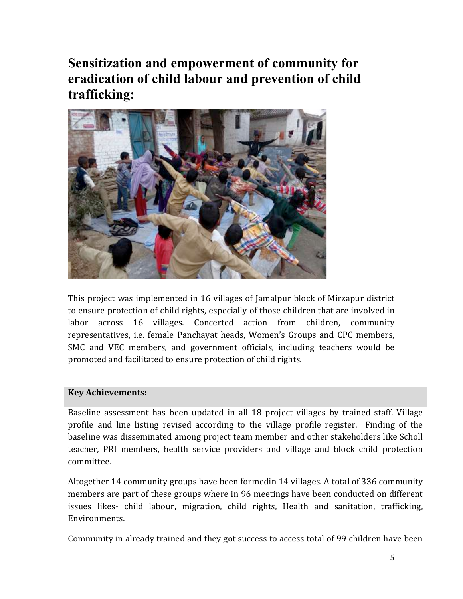**Sensitization and empowerment of community for eradication of child labour and prevention of child trafficking:**



This project was implemented in 16 villages of Jamalpur block of Mirzapur district to ensure protection of child rights, especially of those children that are involved in labor across 16 villages. Concerted action from children, community representatives, i.e. female Panchayat heads, Women's Groups and CPC members, SMC and VEC members, and government officials, including teachers would be promoted and facilitated to ensure protection of child rights.

#### **Key Achievements:**

Baseline assessment has been updated in all 18 project villages by trained staff. Village profile and line listing revised according to the village profile register. Finding of the baseline was disseminated among project team member and other stakeholders like Scholl teacher, PRI members, health service providers and village and block child protection committee. 

Altogether 14 community groups have been formedin 14 villages. A total of 336 community members are part of these groups where in 96 meetings have been conducted on different issues likes- child labour, migration, child rights, Health and sanitation, trafficking, Environments. 

Community in already trained and they got success to access total of 99 children have been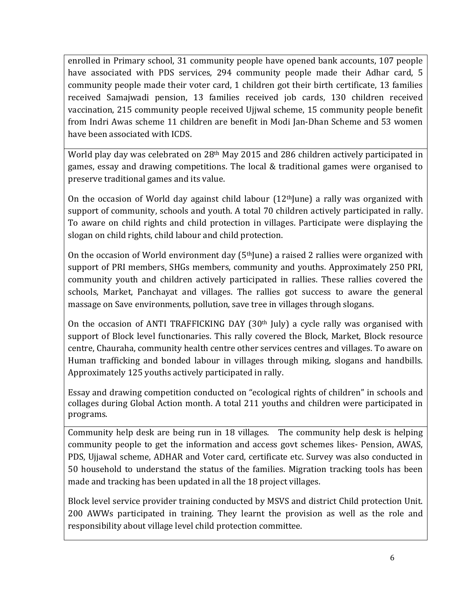enrolled in Primary school, 31 community people have opened bank accounts, 107 people have associated with PDS services, 294 community people made their Adhar card, 5 community people made their voter card, 1 children got their birth certificate, 13 families received Samajwadi pension, 13 families received job cards, 130 children received vaccination, 215 community people received Ujjwal scheme, 15 community people benefit from Indri Awas scheme 11 children are benefit in Modi Jan-Dhan Scheme and 53 women have been associated with ICDS.

World play day was celebrated on 28<sup>th</sup> May 2015 and 286 children actively participated in games, essay and drawing competitions. The local & traditional games were organised to preserve traditional games and its value.

On the occasion of World day against child labour  $(12<sup>th</sup>]$ une) a rally was organized with support of community, schools and youth. A total 70 children actively participated in rally. To aware on child rights and child protection in villages. Participate were displaying the slogan on child rights, child labour and child protection.

On the occasion of World environment day  $(5<sup>th</sup>$  June) a raised 2 rallies were organized with support of PRI members, SHGs members, community and youths. Approximately 250 PRI, community youth and children actively participated in rallies. These rallies covered the schools, Market, Panchayat and villages. The rallies got success to aware the general massage on Save environments, pollution, save tree in villages through slogans.

On the occasion of ANTI TRAFFICKING DAY  $(30<sup>th</sup>$  July) a cycle rally was organised with support of Block level functionaries. This rally covered the Block, Market, Block resource centre, Chauraha, community health centre other services centres and villages. To aware on Human trafficking and bonded labour in villages through miking, slogans and handbills. Approximately 125 youths actively participated in rally.

Essay and drawing competition conducted on "ecological rights of children" in schools and collages during Global Action month. A total 211 youths and children were participated in programs. 

Community help desk are being run in 18 villages. The community help desk is helping community people to get the information and access govt schemes likes- Pension, AWAS, PDS, Ujjawal scheme, ADHAR and Voter card, certificate etc. Survey was also conducted in 50 household to understand the status of the families. Migration tracking tools has been made and tracking has been updated in all the 18 project villages.

Block level service provider training conducted by MSVS and district Child protection Unit. 200 AWWs participated in training. They learnt the provision as well as the role and responsibility about village level child protection committee.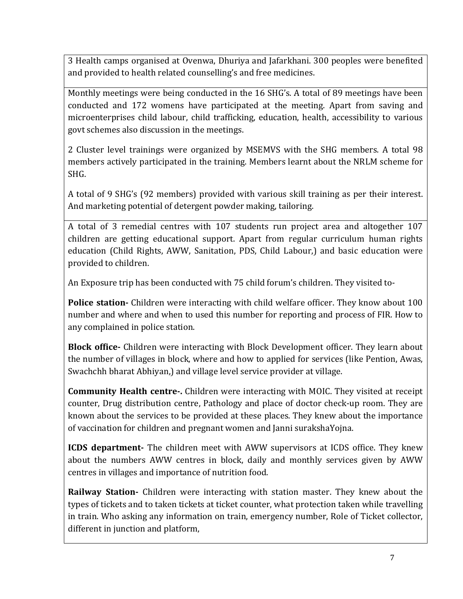3 Health camps organised at Ovenwa, Dhuriya and Jafarkhani. 300 peoples were benefited and provided to health related counselling's and free medicines.

Monthly meetings were being conducted in the 16 SHG's. A total of 89 meetings have been conducted and 172 womens have participated at the meeting. Apart from saving and microenterprises child labour, child trafficking, education, health, accessibility to various govt schemes also discussion in the meetings.

2 Cluster level trainings were organized by MSEMVS with the SHG members. A total 98 members actively participated in the training. Members learnt about the NRLM scheme for SHG. 

A total of 9 SHG's (92 members) provided with various skill training as per their interest. And marketing potential of detergent powder making, tailoring.

A total of 3 remedial centres with 107 students run project area and altogether 107 children are getting educational support. Apart from regular curriculum human rights education (Child Rights, AWW, Sanitation, PDS, Child Labour,) and basic education were provided to children.

An Exposure trip has been conducted with 75 child forum's children. They visited to-

**Police station-** Children were interacting with child welfare officer. They know about 100 number and where and when to used this number for reporting and process of FIR. How to any complained in police station.

**Block office-** Children were interacting with Block Development officer. They learn about the number of villages in block, where and how to applied for services (like Pention, Awas, Swachchh bharat Abhiyan,) and village level service provider at village.

**Community Health centre-.** Children were interacting with MOIC. They visited at receipt counter, Drug distribution centre, Pathology and place of doctor check-up room. They are known about the services to be provided at these places. They knew about the importance of vaccination for children and pregnant women and Janni surakshaYojna.

**ICDS department-** The children meet with AWW supervisors at ICDS office. They knew about the numbers AWW centres in block, daily and monthly services given by AWW centres in villages and importance of nutrition food.

**Railway Station-** Children were interacting with station master. They knew about the types of tickets and to taken tickets at ticket counter, what protection taken while travelling in train. Who asking any information on train, emergency number, Role of Ticket collector, different in junction and platform,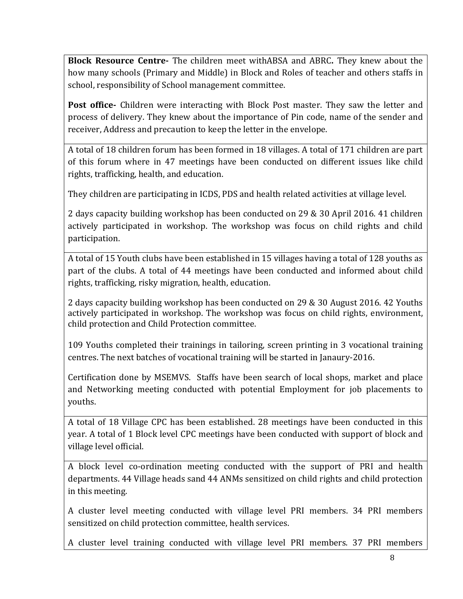**Block Resource Centre-** The children meet withABSA and ABRC. They knew about the how many schools (Primary and Middle) in Block and Roles of teacher and others staffs in school, responsibility of School management committee.

**Post office**- Children were interacting with Block Post master. They saw the letter and process of delivery. They knew about the importance of Pin code, name of the sender and receiver, Address and precaution to keep the letter in the envelope.

A total of 18 children forum has been formed in 18 villages. A total of 171 children are part of this forum where in 47 meetings have been conducted on different issues like child rights, trafficking, health, and education.

They children are participating in ICDS, PDS and health related activities at village level.

2 days capacity building workshop has been conducted on 29 & 30 April 2016. 41 children actively participated in workshop. The workshop was focus on child rights and child participation.

A total of 15 Youth clubs have been established in 15 villages having a total of 128 youths as part of the clubs. A total of 44 meetings have been conducted and informed about child rights, trafficking, risky migration, health, education.

2 days capacity building workshop has been conducted on 29 & 30 August 2016. 42 Youths actively participated in workshop. The workshop was focus on child rights, environment, child protection and Child Protection committee.

109 Youths completed their trainings in tailoring, screen printing in 3 vocational training centres. The next batches of vocational training will be started in Janaury-2016.

Certification done by MSEMVS. Staffs have been search of local shops, market and place and Networking meeting conducted with potential Employment for job placements to youths. 

A total of 18 Village CPC has been established. 28 meetings have been conducted in this year. A total of 1 Block level CPC meetings have been conducted with support of block and village level official.

A block level co-ordination meeting conducted with the support of PRI and health departments. 44 Village heads sand 44 ANMs sensitized on child rights and child protection in this meeting.

A cluster level meeting conducted with village level PRI members. 34 PRI members sensitized on child protection committee, health services.

A cluster level training conducted with village level PRI members. 37 PRI members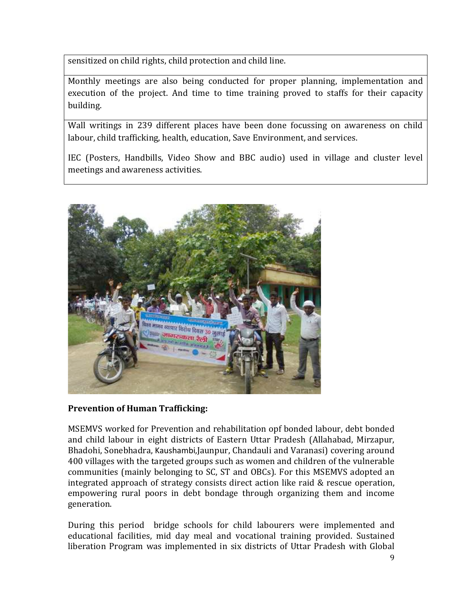sensitized on child rights, child protection and child line.

Monthly meetings are also being conducted for proper planning, implementation and execution of the project. And time to time training proved to staffs for their capacity building.

Wall writings in 239 different places have been done focussing on awareness on child labour, child trafficking, health, education, Save Environment, and services.

IEC (Posters, Handbills, Video Show and BBC audio) used in village and cluster level meetings and awareness activities.



#### **Prevention of Human Trafficking:**

MSEMVS worked for Prevention and rehabilitation opf bonded labour, debt bonded and child labour in eight districts of Eastern Uttar Pradesh (Allahabad, Mirzapur, Bhadohi, Sonebhadra, Kaushambi,Jaunpur, Chandauli and Varanasi) covering around 400 villages with the targeted groups such as women and children of the vulnerable communities (mainly belonging to SC, ST and OBCs). For this MSEMVS adopted an integrated approach of strategy consists direct action like raid  $&$  rescue operation, empowering rural poors in debt bondage through organizing them and income generation.

During this period bridge schools for child labourers were implemented and educational facilities, mid day meal and vocational training provided. Sustained liberation Program was implemented in six districts of Uttar Pradesh with Global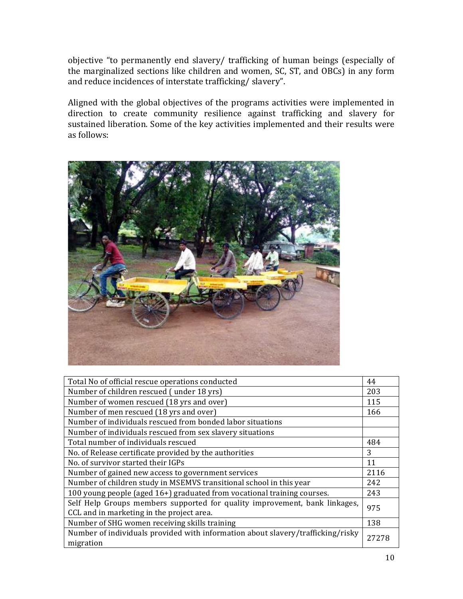objective "to permanently end slavery/ trafficking of human beings (especially of the marginalized sections like children and women, SC, ST, and OBCs) in any form and reduce incidences of interstate trafficking/ slavery".

Aligned with the global objectives of the programs activities were implemented in direction to create community resilience against trafficking and slavery for sustained liberation. Some of the key activities implemented and their results were as follows:



| Total No of official rescue operations conducted                                                                        |      |  |  |  |
|-------------------------------------------------------------------------------------------------------------------------|------|--|--|--|
| Number of children rescued (under 18 yrs)                                                                               |      |  |  |  |
| Number of women rescued (18 yrs and over)                                                                               |      |  |  |  |
| Number of men rescued (18 yrs and over)                                                                                 | 166  |  |  |  |
| Number of individuals rescued from bonded labor situations                                                              |      |  |  |  |
| Number of individuals rescued from sex slavery situations                                                               |      |  |  |  |
| Total number of individuals rescued                                                                                     | 484  |  |  |  |
| No. of Release certificate provided by the authorities                                                                  |      |  |  |  |
| No. of survivor started their IGPs                                                                                      |      |  |  |  |
| Number of gained new access to government services                                                                      | 2116 |  |  |  |
| Number of children study in MSEMVS transitional school in this year                                                     | 242  |  |  |  |
| 100 young people (aged 16+) graduated from vocational training courses.                                                 |      |  |  |  |
| Self Help Groups members supported for quality improvement, bank linkages,<br>CCL and in marketing in the project area. |      |  |  |  |
| Number of SHG women receiving skills training                                                                           |      |  |  |  |
| Number of individuals provided with information about slavery/trafficking/risky<br>migration                            |      |  |  |  |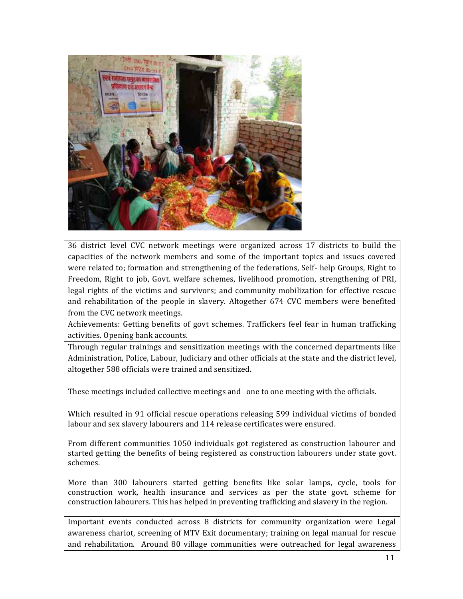

36 district level CVC network meetings were organized across 17 districts to build the capacities of the network members and some of the important topics and issues covered were related to; formation and strengthening of the federations, Self- help Groups, Right to Freedom. Right to job, Govt. welfare schemes, livelihood promotion, strengthening of PRI, legal rights of the victims and survivors; and community mobilization for effective rescue and rehabilitation of the people in slavery. Altogether 674 CVC members were benefited from the CVC network meetings.

Achievements: Getting benefits of govt schemes. Traffickers feel fear in human trafficking activities. Opening bank accounts.

Through regular trainings and sensitization meetings with the concerned departments like Administration, Police, Labour, Judiciary and other officials at the state and the district level, altogether 588 officials were trained and sensitized.

These meetings included collective meetings and one to one meeting with the officials.

Which resulted in 91 official rescue operations releasing 599 individual victims of bonded labour and sex slavery labourers and 114 release certificates were ensured.

From different communities 1050 individuals got registered as construction labourer and started getting the benefits of being registered as construction labourers under state govt. schemes.

More than 300 labourers started getting benefits like solar lamps, cycle, tools for construction work, health insurance and services as per the state govt. scheme for construction labourers. This has helped in preventing trafficking and slavery in the region.

Important events conducted across 8 districts for community organization were Legal awareness chariot, screening of MTV Exit documentary; training on legal manual for rescue and rehabilitation. Around 80 village communities were outreached for legal awareness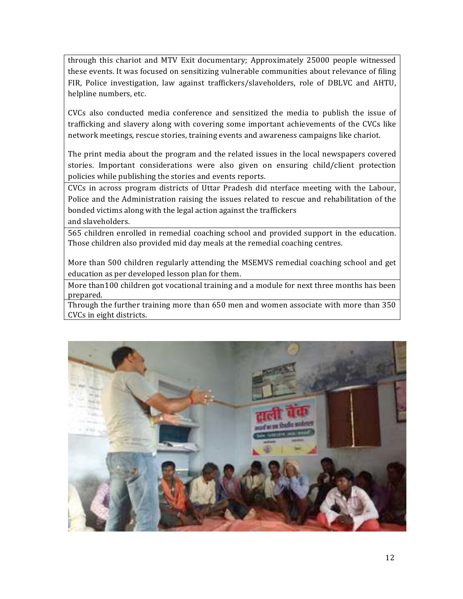through this chariot and MTV Exit documentary; Approximately 25000 people witnessed these events. It was focused on sensitizing vulnerable communities about relevance of filing FIR, Police investigation, law against traffickers/slaveholders, role of DBLVC and AHTU, helpline numbers, etc.

CVCs also conducted media conference and sensitized the media to publish the issue of trafficking and slavery along with covering some important achievements of the CVCs like network meetings, rescue stories, training events and awareness campaigns like chariot.

The print media about the program and the related issues in the local newspapers covered stories. Important considerations were also given on ensuring child/client protection policies while publishing the stories and events reports.

CVCs in across program districts of Uttar Pradesh did nterface meeting with the Labour, Police and the Administration raising the issues related to rescue and rehabilitation of the bonded victims along with the legal action against the traffickers

and slaveholders.

565 children enrolled in remedial coaching school and provided support in the education. Those children also provided mid day meals at the remedial coaching centres.

More than 500 children regularly attending the MSEMVS remedial coaching school and get education as per developed lesson plan for them.

More than100 children got vocational training and a module for next three months has been prepared.

Through the further training more than 650 men and women associate with more than 350 CVCs in eight districts.

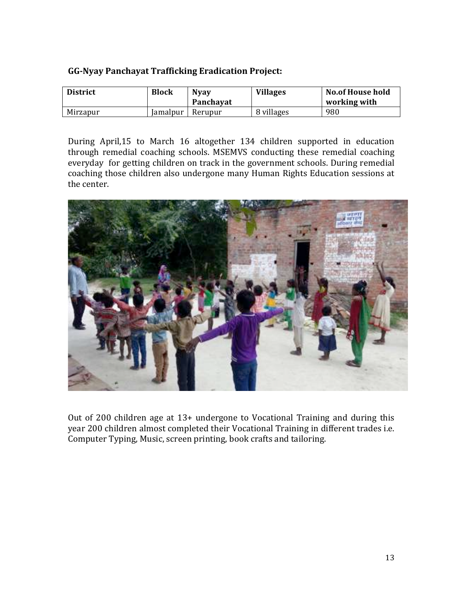#### **GG-Nyay Panchayat Trafficking Eradication Project:**

| <b>District</b> | <b>Block</b>    | <b>Nyay</b><br>Panchayat | <b>Villages</b> | <b>No.of House hold</b><br>working with |
|-----------------|-----------------|--------------------------|-----------------|-----------------------------------------|
| Mirzapur        | <b>Lamalpur</b> | Rerupur                  | 8 villages      | 980                                     |

During April,15 to March 16 altogether 134 children supported in education through remedial coaching schools. MSEMVS conducting these remedial coaching everyday for getting children on track in the government schools. During remedial coaching those children also undergone many Human Rights Education sessions at the center.



Out of 200 children age at  $13+$  undergone to Vocational Training and during this year 200 children almost completed their Vocational Training in different trades i.e. Computer Typing, Music, screen printing, book crafts and tailoring.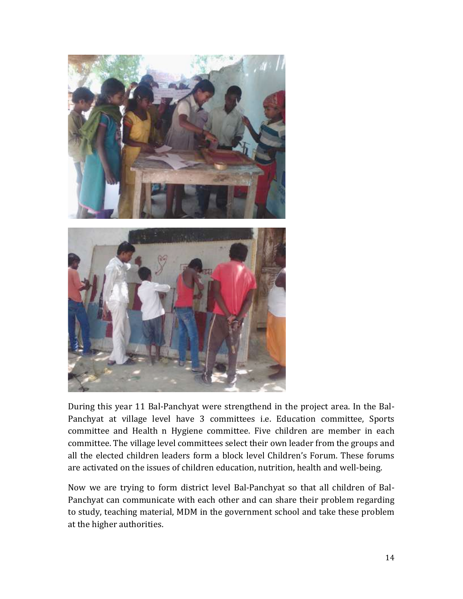

During this year 11 Bal-Panchyat were strengthend in the project area. In the Bal-Panchyat at village level have 3 committees i.e. Education committee, Sports committee and Health n Hygiene committee. Five children are member in each committee. The village level committees select their own leader from the groups and all the elected children leaders form a block level Children's Forum. These forums are activated on the issues of children education, nutrition, health and well-being.

Now we are trying to form district level Bal-Panchyat so that all children of Bal-Panchyat can communicate with each other and can share their problem regarding to study, teaching material, MDM in the government school and take these problem at the higher authorities.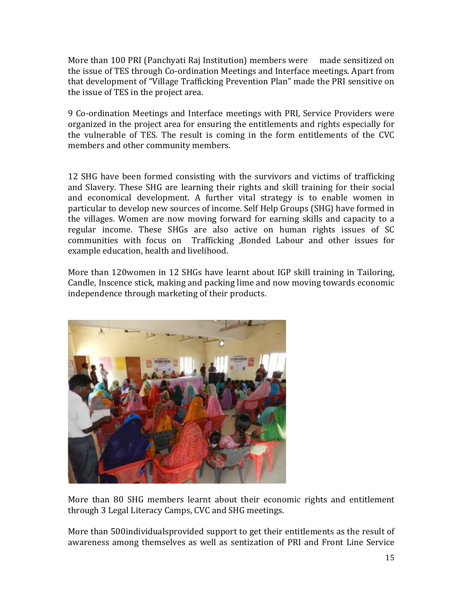More than 100 PRI (Panchyati Raj Institution) members were made sensitized on the issue of TES through Co-ordination Meetings and Interface meetings. Apart from that development of "Village Trafficking Prevention Plan" made the PRI sensitive on the issue of TES in the project area.

9 Co-ordination Meetings and Interface meetings with PRI, Service Providers were organized in the project area for ensuring the entitlements and rights especially for the vulnerable of TES. The result is coming in the form entitlements of the CVC members and other community members.

12 SHG have been formed consisting with the survivors and victims of trafficking and Slavery. These SHG are learning their rights and skill training for their social and economical development. A further vital strategy is to enable women in particular to develop new sources of income. Self Help Groups (SHG) have formed in the villages. Women are now moving forward for earning skills and capacity to a regular income. These SHGs are also active on human rights issues of SC communities with focus on Trafficking ,Bonded Labour and other issues for example education, health and livelihood.

More than  $120$  women in  $12$  SHGs have learnt about IGP skill training in Tailoring, Candle, Inscence stick, making and packing lime and now moving towards economic independence through marketing of their products.



More than 80 SHG members learnt about their economic rights and entitlement through 3 Legal Literacy Camps, CVC and SHG meetings.

More than 500 individuals provided support to get their entitlements as the result of awareness among themselves as well as sentization of PRI and Front Line Service